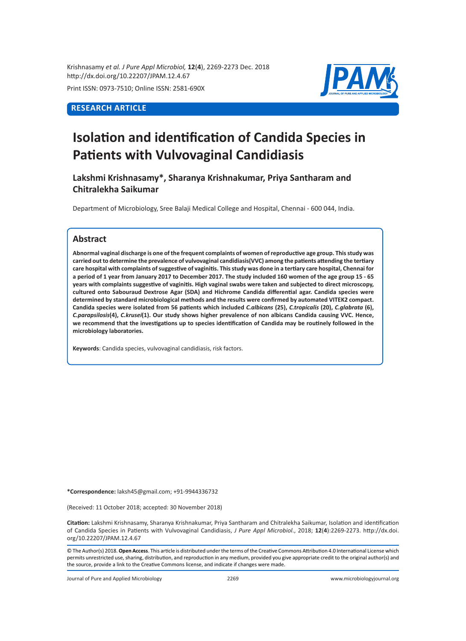Krishnasamy *et al. J Pure Appl Microbiol,* **12**(**4**), 2269-2273 Dec. 2018 http://dx.doi.org/10.22207/JPAM.12.4.67

Print ISSN: 0973-7510; Online ISSN: 2581-690X

## **RESEARCH ARTICLE**



# **Isolation and identification of Candida Species in Patients with Vulvovaginal Candidiasis**

**Lakshmi Krishnasamy\*, Sharanya Krishnakumar, Priya Santharam and Chitralekha Saikumar**

Department of Microbiology, Sree Balaji Medical College and Hospital, Chennai - 600 044, India.

### **Abstract**

**Abnormal vaginal discharge is one of the frequent complaints of women of reproductive age group. This study was carried out to determine the prevalence of vulvovaginal candidiasis(VVC) among the patients attending the tertiary care hospital with complaints of suggestive of vaginitis. This study was done in a tertiary care hospital, Chennai for a period of 1 year from January 2017 to December 2017. The study included 160 women of the age group 15 - 65 years with complaints suggestive of vaginitis. High vaginal swabs were taken and subjected to direct microscopy, cultured onto Sabouraud Dextrose Agar (SDA) and Hichrome Candida differential agar. Candida species were determined by standard microbiological methods and the results were confirmed by automated VITEK2 compact. Candida species were isolated from 56 patients which included** *C.albicans* **(25),** *C.tropicalis* **(20),** *C.glabrata* **(6),**  *C.parapsilosis***(4),** *C.krusei***(1). Our study shows higher prevalence of non albicans Candida causing VVC. Hence, we recommend that the investigations up to species identification of Candida may be routinely followed in the microbiology laboratories.**

**Keywords**: Candida species, vulvovaginal candidiasis, risk factors.

**\*Correspondence:** laksh45@gmail.com; +91-9944336732

(Received: 11 October 2018; accepted: 30 November 2018)

**Citation:** Lakshmi Krishnasamy, Sharanya Krishnakumar, Priya Santharam and Chitralekha Saikumar, Isolation and identification of Candida Species in Patients with Vulvovaginal Candidiasis, *J Pure Appl Microbiol*., 2018; **12**(**4**):2269-2273. http://dx.doi. org/10.22207/JPAM.12.4.67

© The Author(s) 2018. **Open Access**. This article is distributed under the terms of the Creative Commons Attribution 4.0 International License which permits unrestricted use, sharing, distribution, and reproduction in any medium, provided you give appropriate credit to the original author(s) and the source, provide a link to the Creative Commons license, and indicate if changes were made.

Journal of Pure and Applied Microbiology 2269 www.microbiologyjournal.org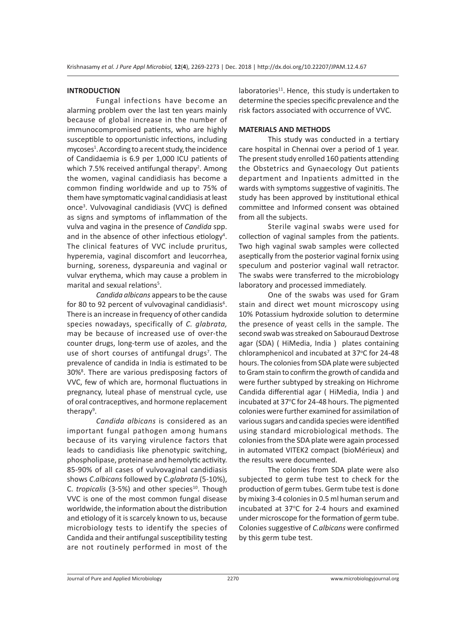#### **INTRODUCTION**

Fungal infections have become an alarming problem over the last ten years mainly because of global increase in the number of immunocompromised patients, who are highly susceptible to opportunistic infections, including mycoses<sup>1</sup>. According to a recent study, the incidence of Candidaemia is 6.9 per 1,000 ICU patients of which 7.5% received antifungal therapy<sup>2</sup>. Among the women, vaginal candidiasis has become a common finding worldwide and up to 75% of them have symptomatic vaginal candidiasis at least once3 . Vulvovaginal candidiasis (VVC) is defined as signs and symptoms of inflammation of the vulva and vagina in the presence of *Candida* spp. and in the absence of other infectious etiology<sup>4</sup>. The clinical features of VVC include pruritus, hyperemia, vaginal discomfort and leucorrhea, burning, soreness, dyspareunia and vaginal or vulvar erythema, which may cause a problem in marital and sexual relations<sup>5</sup>.

*Candida albicans* appears to be the cause for 80 to 92 percent of vulvovaginal candidiasis<sup>6</sup>. There is an increase in frequency of other candida species nowadays, specifically of *C. glabrata,*  may be because of increased use of over-the counter drugs, long-term use of azoles, and the use of short courses of antifungal drugs<sup>7</sup>. The prevalence of candida in India is estimated to be 30%<sup>8</sup>. There are various predisposing factors of VVC, few of which are, hormonal fluctuations in pregnancy, luteal phase of menstrual cycle, use of oral contraceptives, and hormone replacement therapy<sup>9</sup>.

*Candida albicans* is considered as an important fungal pathogen among humans because of its varying virulence factors that leads to candidiasis like phenotypic switching, phospholipase, proteinase and hemolytic activity. 85-90% of all cases of vulvovaginal candidiasis shows *C*.*albicans* followed by C.*glabrata* (5-10%), C. *tropicalis* (3-5%) and other species<sup>10</sup>. Though VVC is one of the most common fungal disease worldwide, the information about the distribution and etiology of it is scarcely known to us, because microbiology tests to identify the species of Candida and their antifungal susceptibility testing are not routinely performed in most of the laboratories $11$ . Hence, this study is undertaken to determine the species specific prevalence and the risk factors associated with occurrence of VVC.

#### **MATERIALS AND METHODS**

This study was conducted in a tertiary care hospital in Chennai over a period of 1 year. The present study enrolled 160 patients attending the Obstetrics and Gynaecology Out patients department and Inpatients admitted in the wards with symptoms suggestive of vaginitis. The study has been approved by institutional ethical committee and Informed consent was obtained from all the subjects.

Sterile vaginal swabs were used for collection of vaginal samples from the patients. Two high vaginal swab samples were collected aseptically from the posterior vaginal fornix using speculum and posterior vaginal wall retractor. The swabs were transferred to the microbiology laboratory and processed immediately.

One of the swabs was used for Gram stain and direct wet mount microscopy using 10% Potassium hydroxide solution to determine the presence of yeast cells in the sample. The second swab was streaked on Sabouraud Dextrose agar (SDA) ( HiMedia, India ) plates containing chloramphenicol and incubated at 37°C for 24-48 hours. The colonies from SDA plate were subjected to Gram stain to confirm the growth of candida and were further subtyped by streaking on Hichrome Candida differential agar ( HiMedia, India ) and incubated at 37°C for 24-48 hours. The pigmented colonies were further examined for assimilation of various sugars and candida species were identified using standard microbiological methods. The colonies from the SDA plate were again processed in automated VITEK2 compact (bioMérieux) and the results were documented.

The colonies from SDA plate were also subjected to germ tube test to check for the production of germ tubes. Germ tube test is done by mixing 3-4 colonies in 0.5 ml human serum and incubated at 37°C for 2-4 hours and examined under microscope for the formation of germ tube. Colonies suggestive of *C.albicans* were confirmed by this germ tube test.

Journal of Pure and Applied Microbiology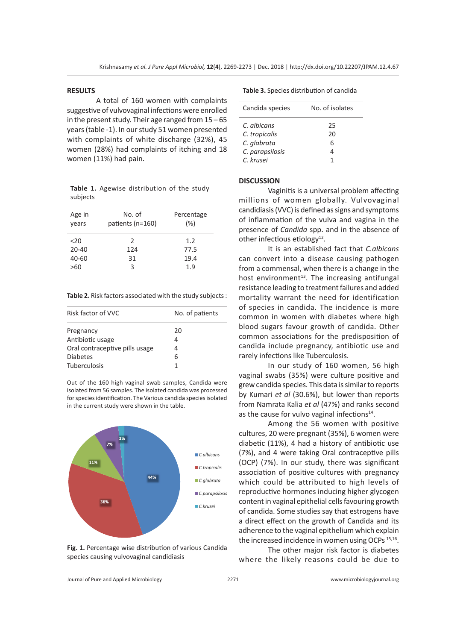#### **RESULTS**

A total of 160 women with complaints suggestive of vulvovaginal infections were enrolled in the present study. Their age ranged from 15 – 65 years (table -1). In our study 51 women presented with complaints of white discharge (32%), 45 women (28%) had complaints of itching and 18 women (11%) had pain.

**Table 1.** Agewise distribution of the study subjects

| Age in<br>vears | No. of<br>patients (n=160) | Percentage<br>(%) |
|-----------------|----------------------------|-------------------|
| $20$            | $\mathcal{P}$              | 1.2               |
| $20 - 40$       | 124                        | 77.5              |
| 40-60           | 31                         | 19.4              |
| >60             | 3                          | 1.9               |

**Table 2.** Risk factors associated with the study subjects :

| No. of patients |  |
|-----------------|--|
| 20              |  |
| 4               |  |
| 4               |  |
| 6               |  |
| 1               |  |
|                 |  |

Out of the 160 high vaginal swab samples, Candida were isolated from 56 samples. The isolated candida was processed for species identification. The Various candida species isolated in the current study were shown in the table.



**Fig. 1.** Percentage wise distribution of various Candida species causing vulvovaginal candidiasis

|  |  | <b>Table 3.</b> Species distribution of candida |  |
|--|--|-------------------------------------------------|--|
|--|--|-------------------------------------------------|--|

| Candida species                                                             | No. of isolates         |
|-----------------------------------------------------------------------------|-------------------------|
| C. albicans<br>C. tropicalis<br>C. glabrata<br>C. parapsilosis<br>C. krusei | 25<br>20<br>6<br>4<br>1 |
|                                                                             |                         |

#### **DISCUSSION**

Vaginitis is a universal problem affecting millions of women globally. Vulvovaginal candidiasis (VVC) is defined as signs and symptoms of inflammation of the vulva and vagina in the presence of *Candida* spp. and in the absence of other infectious etiology $^{12}$ .

It is an established fact that *C.albicans* can convert into a disease causing pathogen from a commensal, when there is a change in the host environment<sup>13</sup>. The increasing antifungal resistance leading to treatment failures and added mortality warrant the need for identification of species in candida. The incidence is more common in women with diabetes where high blood sugars favour growth of candida. Other common associations for the predisposition of candida include pregnancy, antibiotic use and rarely infections like Tuberculosis.

In our study of 160 women, 56 high vaginal swabs (35%) were culture positive and grew candida species. This data is similar to reports by Kumari *et al* (30.6%), but lower than reports from Namrata Kalia *et al* (47%) and ranks second as the cause for vulvo vaginal infections $14$ .

Among the 56 women with positive cultures, 20 were pregnant (35%), 6 women were diabetic (11%), 4 had a history of antibiotic use (7%), and 4 were taking Oral contraceptive pills (OCP) (7%). In our study, there was significant association of positive cultures with pregnancy which could be attributed to high levels of reproductive hormones inducing higher glycogen content in vaginal epithelial cells favouring growth of candida. Some studies say that estrogens have a direct effect on the growth of Candida and its adherence to the vaginal epithelium which explain the increased incidence in women using OCPs<sup>15,16</sup>.

The other major risk factor is diabetes where the likely reasons could be due to

Journal of Pure and Applied Microbiology 2271 www.microbiologyjournal.org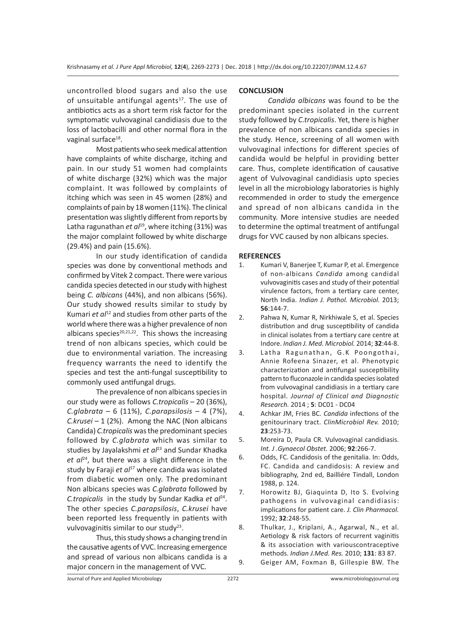uncontrolled blood sugars and also the use of unsuitable antifungal agents $17$ . The use of antibiotics acts as a short term risk factor for the symptomatic vulvovaginal candidiasis due to the loss of lactobacilli and other normal flora in the vaginal surface<sup>18</sup>.

Most patients who seek medical attention have complaints of white discharge, itching and pain. In our study 51 women had complaints of white discharge (32%) which was the major complaint. It was followed by complaints of itching which was seen in 45 women (28%) and complaints of pain by 18 women (11%). The clinical presentation was slightly different from reports by Latha ragunathan *et al*<sup>19</sup>, where itching (31%) was the major complaint followed by white discharge (29.4%) and pain (15.6%).

In our study identification of candida species was done by conventional methods and confirmed by Vitek 2 compact. There were various candida species detected in our study with highest being *C. albicans* (44%), and non albicans (56%). Our study showed results similar to study by Kumari *et al*12 and studies from other parts of the world where there was a higher prevalence of non albicans species<sup>20,21,22</sup>. This shows the increasing trend of non albicans species, which could be due to environmental variation. The increasing frequency warrants the need to identify the species and test the anti-fungal susceptibility to commonly used antifungal drugs.

The prevalence of non albicans species in our study were as follows *C.tropicalis* – 20 (36%), *C.glabrata* – 6 (11%), *C.parapsilosis* – 4 (7%), *C.krusei* – 1 (2%). Among the NAC (Non albicans Candida) *C.tropicalis* was the predominant species followed by *C.glabrata* which was similar to studies by Jayalakshmi et al<sup>23</sup> and Sundar Khadka *et al*<sup>24</sup>, but there was a slight difference in the study by Faraji *et al*<sup>17</sup> where candida was isolated from diabetic women only. The predominant Non albicans species was *C.glabrata* followed by *C.tropicalis* in the study by Sundar Kadka *et al<sup>24</sup>*. The other species *C.parapsilosis*, *C.krusei* have been reported less frequently in patients with vulvovaginitis similar to our study<sup>23</sup>.

Thus, this study shows a changing trend in the causative agents of VVC. Increasing emergence and spread of various non albicans candida is a major concern in the management of VVC.

### **CONCLUSION**

*Candida albicans* was found to be the predominant species isolated in the current study followed by *C.tropicalis*. Yet, there is higher prevalence of non albicans candida species in the study. Hence, screening of all women with vulvovaginal infections for different species of candida would be helpful in providing better care. Thus, complete identification of causative agent of Vulvovaginal candidiasis upto species level in all the microbiology laboratories is highly recommended in order to study the emergence and spread of non albicans candida in the community. More intensive studies are needed to determine the optimal treatment of antifungal drugs for VVC caused by non albicans species.

### **REFERENCES**

- 1. Kumari V, Banerjee T, Kumar P, et al. Emergence of non-albicans *Candida* among candidal vulvovaginitis cases and study of their potential virulence factors, from a tertiary care center, North India. *Indian J. Pathol. Microbiol.* 2013; **56**:144-7.
- 2. Pahwa N, Kumar R, Nirkhiwale S, et al. Species distribution and drug susceptibility of candida in clinical isolates from a tertiary care centre at Indore. *Indian J. Med. Microbiol.* 2014; **32**:44-8.
- 3. Latha Ragunathan, G.K Poongothai, Annie Rofeena Sinazer, et al. Phenotypic characterization and antifungal susceptibility pattern to fluconazole in candida species isolated from vulvovaginal candidiasis in a tertiary care hospital. *Journal of Clinical and Diagnostic Research.* 2014 ; **5**: DC01 - DC04
- 4. Achkar JM, Fries BC. *Candida* infections of the genitourinary tract. *ClinMicrobiol Rev.* 2010; **23**:253-73.
- 5. Moreira D, Paula CR. Vulvovaginal candidiasis. *Int. J .Gynaecol Obstet.* 2006; **92**:266-7.
- 6. Odds, FC. Candidosis of the genitalia. In: Odds, FC. Candida and candidosis: A review and bibliography, 2nd ed, Bailliére Tindall, London 1988, p. 124.
- 7. Horowitz BJ, Giaquinta D, Ito S. Evolving pathogens in vulvovaginal candidiasis: implications for patient care. *J. Clin Pharmacol.* 1992; **32**:248-55.
- 8. Thulkar, J., Kriplani, A., Agarwal, N., et al. Aetiology & risk factors of recurrent vaginitis & its association with variouscontraceptive methods. *Indian J.Med. Res.* 2010; **131**: 83 87. 9. Geiger AM, Foxman B, Gillespie BW. The